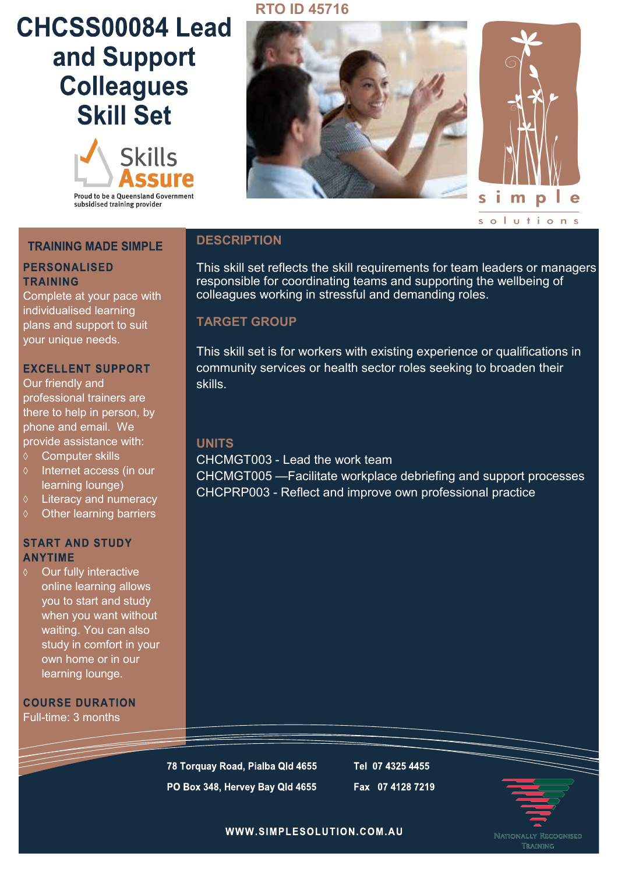# CHCSS00084 Lead and Support **Colleagues Skill Set**



## **RTO ID 45716**





### **TRAINING MADE SIMPLE**

#### **PERSONALISED TRAINING**

Complete at your pace with individualised learning plans and support to suit your unique needs.

#### **EXCELLENT SUPPORT**

Our friendly and professional trainers are there to help in person, by phone and email. We provide assistance with:

- Computer skills
- $\Diamond$  Internet access (in our learning lounge)
- Literacy and numeracy
- $\diamond$  Other learning barriers

#### **START AND STUDY ANYTIME**

Our fully interactive online learning allows you to start and study when you want without waiting. You can also study in comfort in your own home or in our learning lounge.

**COURSE DURATION** Full-time: 3 months

## **DESCRIPTION**

This skill set reflects the skill requirements for team leaders or managers responsible for coordinating teams and supporting the wellbeing of colleagues working in stressful and demanding roles.

## **TARGET GROUP**

This skill set is for workers with existing experience or qualifications in community services or health sector roles seeking to broaden their skills.

#### **UNITS**

CHCMGT003 - Lead the work team

CHCMGT005 —Facilitate workplace debriefing and support processes CHCPRP003 - Reflect and improve own professional practice

78 Torquay Road, Pialba Qld 4655 PO Box 348, Hervey Bay Qld 4655 Tel 07 4325 4455 Fax 07 4128 7219



WWW.SIMPLESOLUTION.COM.AU